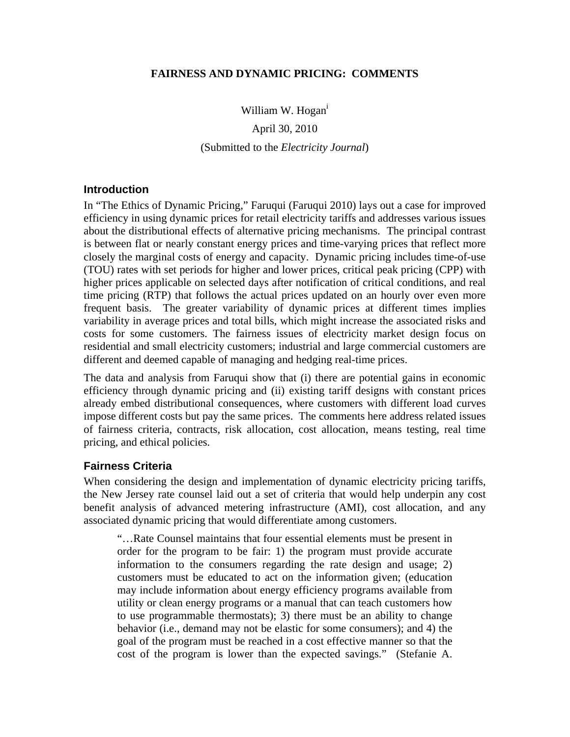#### **FAIRNESS AND DYNAMIC PRICING: COMMENTS**

William W. Hogan<sup>1</sup>

April 30, 2010 (Submitted to the *Electricity Journal*)

#### **Introduction**

In "The Ethics of Dynamic Pricing," Faruqui (Faruqui 2010) lays out a case for improved efficiency in using dynamic prices for retail electricity tariffs and addresses various issues about the distributional effects of alternative pricing mechanisms. The principal contrast is between flat or nearly constant energy prices and time-varying prices that reflect more closely the marginal costs of energy and capacity. Dynamic pricing includes time-of-use (TOU) rates with set periods for higher and lower prices, critical peak pricing (CPP) with higher prices applicable on selected days after notification of critical conditions, and real time pricing (RTP) that follows the actual prices updated on an hourly over even more frequent basis. The greater variability of dynamic prices at different times implies variability in average prices and total bills, which might increase the associated risks and costs for some customers. The fairness issues of electricity market design focus on residential and small electricity customers; industrial and large commercial customers are different and deemed capable of managing and hedging real-time prices.

The data and analysis from Faruqui show that (i) there are potential gains in economic efficiency through dynamic pricing and (ii) existing tariff designs with constant prices already embed distributional consequences, where customers with different load curves impose different costs but pay the same prices. The comments here address related issues of fairness criteria, contracts, risk allocation, cost allocation, means testing, real time pricing, and ethical policies.

#### **Fairness Criteria**

When considering the design and implementation of dynamic electricity pricing tariffs, the New Jersey rate counsel laid out a set of criteria that would help underpin any cost benefit analysis of advanced metering infrastructure (AMI), cost allocation, and any associated dynamic pricing that would differentiate among customers.

"…Rate Counsel maintains that four essential elements must be present in order for the program to be fair: 1) the program must provide accurate information to the consumers regarding the rate design and usage; 2) customers must be educated to act on the information given; (education may include information about energy efficiency programs available from utility or clean energy programs or a manual that can teach customers how to use programmable thermostats); 3) there must be an ability to change behavior (i.e., demand may not be elastic for some consumers); and 4) the goal of the program must be reached in a cost effective manner so that the cost of the program is lower than the expected savings." (Stefanie A.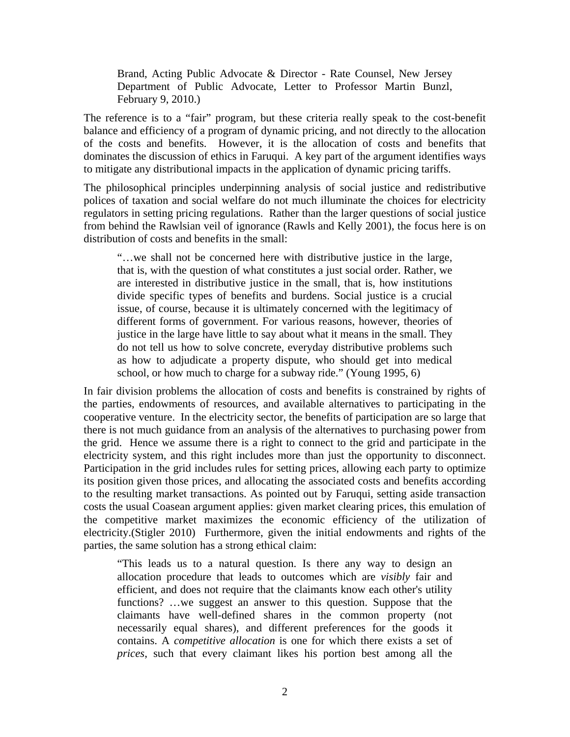Brand, Acting Public Advocate & Director - Rate Counsel, New Jersey Department of Public Advocate, Letter to Professor Martin Bunzl, February 9, 2010.)

The reference is to a "fair" program, but these criteria really speak to the cost-benefit balance and efficiency of a program of dynamic pricing, and not directly to the allocation of the costs and benefits. However, it is the allocation of costs and benefits that dominates the discussion of ethics in Faruqui. A key part of the argument identifies ways to mitigate any distributional impacts in the application of dynamic pricing tariffs.

The philosophical principles underpinning analysis of social justice and redistributive polices of taxation and social welfare do not much illuminate the choices for electricity regulators in setting pricing regulations. Rather than the larger questions of social justice from behind the Rawlsian veil of ignorance (Rawls and Kelly 2001), the focus here is on distribution of costs and benefits in the small:

"…we shall not be concerned here with distributive justice in the large, that is, with the question of what constitutes a just social order. Rather, we are interested in distributive justice in the small, that is, how institutions divide specific types of benefits and burdens. Social justice is a crucial issue, of course, because it is ultimately concerned with the legitimacy of different forms of government. For various reasons, however, theories of justice in the large have little to say about what it means in the small. They do not tell us how to solve concrete, everyday distributive problems such as how to adjudicate a property dispute, who should get into medical school, or how much to charge for a subway ride." (Young 1995, 6)

In fair division problems the allocation of costs and benefits is constrained by rights of the parties, endowments of resources, and available alternatives to participating in the cooperative venture. In the electricity sector, the benefits of participation are so large that there is not much guidance from an analysis of the alternatives to purchasing power from the grid. Hence we assume there is a right to connect to the grid and participate in the electricity system, and this right includes more than just the opportunity to disconnect. Participation in the grid includes rules for setting prices, allowing each party to optimize its position given those prices, and allocating the associated costs and benefits according to the resulting market transactions. As pointed out by Faruqui, setting aside transaction costs the usual Coasean argument applies: given market clearing prices, this emulation of the competitive market maximizes the economic efficiency of the utilization of electricity.(Stigler 2010) Furthermore, given the initial endowments and rights of the parties, the same solution has a strong ethical claim:

"This leads us to a natural question. Is there any way to design an allocation procedure that leads to outcomes which are *visibly* fair and efficient, and does not require that the claimants know each other's utility functions? …we suggest an answer to this question. Suppose that the claimants have well-defined shares in the common property (not necessarily equal shares), and different preferences for the goods it contains. A *competitive allocation* is one for which there exists a set of *prices*, such that every claimant likes his portion best among all the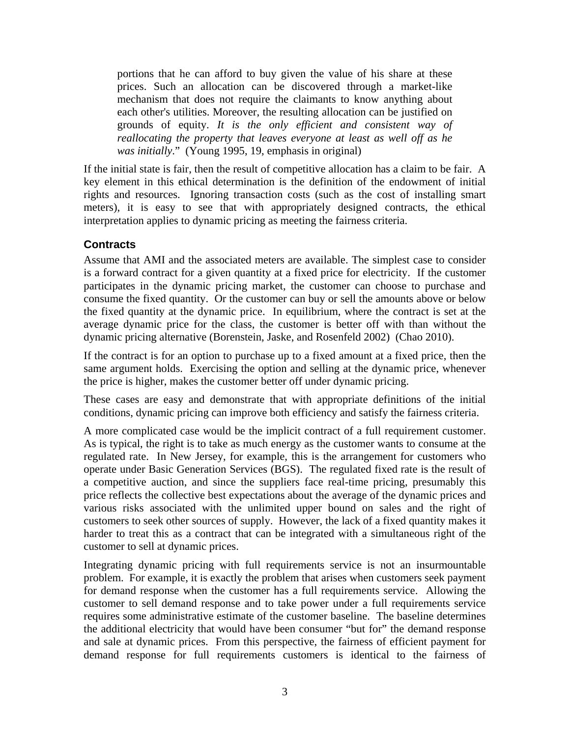portions that he can afford to buy given the value of his share at these prices. Such an allocation can be discovered through a market-like mechanism that does not require the claimants to know anything about each other's utilities. Moreover, the resulting allocation can be justified on grounds of equity. *It is the only efficient and consistent way of reallocating the property that leaves everyone at least as well off as he was initially*." (Young 1995, 19, emphasis in original)

If the initial state is fair, then the result of competitive allocation has a claim to be fair. A key element in this ethical determination is the definition of the endowment of initial rights and resources. Ignoring transaction costs (such as the cost of installing smart meters), it is easy to see that with appropriately designed contracts, the ethical interpretation applies to dynamic pricing as meeting the fairness criteria.

## **Contracts**

Assume that AMI and the associated meters are available. The simplest case to consider is a forward contract for a given quantity at a fixed price for electricity. If the customer participates in the dynamic pricing market, the customer can choose to purchase and consume the fixed quantity. Or the customer can buy or sell the amounts above or below the fixed quantity at the dynamic price. In equilibrium, where the contract is set at the average dynamic price for the class, the customer is better off with than without the dynamic pricing alternative (Borenstein, Jaske, and Rosenfeld 2002) (Chao 2010).

If the contract is for an option to purchase up to a fixed amount at a fixed price, then the same argument holds. Exercising the option and selling at the dynamic price, whenever the price is higher, makes the customer better off under dynamic pricing.

These cases are easy and demonstrate that with appropriate definitions of the initial conditions, dynamic pricing can improve both efficiency and satisfy the fairness criteria.

A more complicated case would be the implicit contract of a full requirement customer. As is typical, the right is to take as much energy as the customer wants to consume at the regulated rate. In New Jersey, for example, this is the arrangement for customers who operate under Basic Generation Services (BGS). The regulated fixed rate is the result of a competitive auction, and since the suppliers face real-time pricing, presumably this price reflects the collective best expectations about the average of the dynamic prices and various risks associated with the unlimited upper bound on sales and the right of customers to seek other sources of supply. However, the lack of a fixed quantity makes it harder to treat this as a contract that can be integrated with a simultaneous right of the customer to sell at dynamic prices.

Integrating dynamic pricing with full requirements service is not an insurmountable problem. For example, it is exactly the problem that arises when customers seek payment for demand response when the customer has a full requirements service. Allowing the customer to sell demand response and to take power under a full requirements service requires some administrative estimate of the customer baseline. The baseline determines the additional electricity that would have been consumer "but for" the demand response and sale at dynamic prices. From this perspective, the fairness of efficient payment for demand response for full requirements customers is identical to the fairness of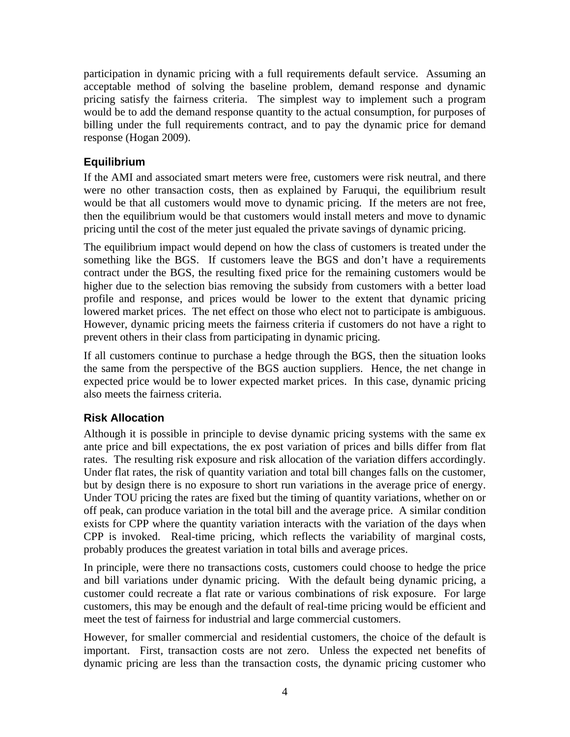participation in dynamic pricing with a full requirements default service. Assuming an acceptable method of solving the baseline problem, demand response and dynamic pricing satisfy the fairness criteria. The simplest way to implement such a program would be to add the demand response quantity to the actual consumption, for purposes of billing under the full requirements contract, and to pay the dynamic price for demand response (Hogan 2009).

## **Equilibrium**

If the AMI and associated smart meters were free, customers were risk neutral, and there were no other transaction costs, then as explained by Faruqui, the equilibrium result would be that all customers would move to dynamic pricing. If the meters are not free, then the equilibrium would be that customers would install meters and move to dynamic pricing until the cost of the meter just equaled the private savings of dynamic pricing.

The equilibrium impact would depend on how the class of customers is treated under the something like the BGS. If customers leave the BGS and don't have a requirements contract under the BGS, the resulting fixed price for the remaining customers would be higher due to the selection bias removing the subsidy from customers with a better load profile and response, and prices would be lower to the extent that dynamic pricing lowered market prices. The net effect on those who elect not to participate is ambiguous. However, dynamic pricing meets the fairness criteria if customers do not have a right to prevent others in their class from participating in dynamic pricing.

If all customers continue to purchase a hedge through the BGS, then the situation looks the same from the perspective of the BGS auction suppliers. Hence, the net change in expected price would be to lower expected market prices. In this case, dynamic pricing also meets the fairness criteria.

### **Risk Allocation**

Although it is possible in principle to devise dynamic pricing systems with the same ex ante price and bill expectations, the ex post variation of prices and bills differ from flat rates. The resulting risk exposure and risk allocation of the variation differs accordingly. Under flat rates, the risk of quantity variation and total bill changes falls on the customer, but by design there is no exposure to short run variations in the average price of energy. Under TOU pricing the rates are fixed but the timing of quantity variations, whether on or off peak, can produce variation in the total bill and the average price. A similar condition exists for CPP where the quantity variation interacts with the variation of the days when CPP is invoked. Real-time pricing, which reflects the variability of marginal costs, probably produces the greatest variation in total bills and average prices.

In principle, were there no transactions costs, customers could choose to hedge the price and bill variations under dynamic pricing. With the default being dynamic pricing, a customer could recreate a flat rate or various combinations of risk exposure. For large customers, this may be enough and the default of real-time pricing would be efficient and meet the test of fairness for industrial and large commercial customers.

However, for smaller commercial and residential customers, the choice of the default is important. First, transaction costs are not zero. Unless the expected net benefits of dynamic pricing are less than the transaction costs, the dynamic pricing customer who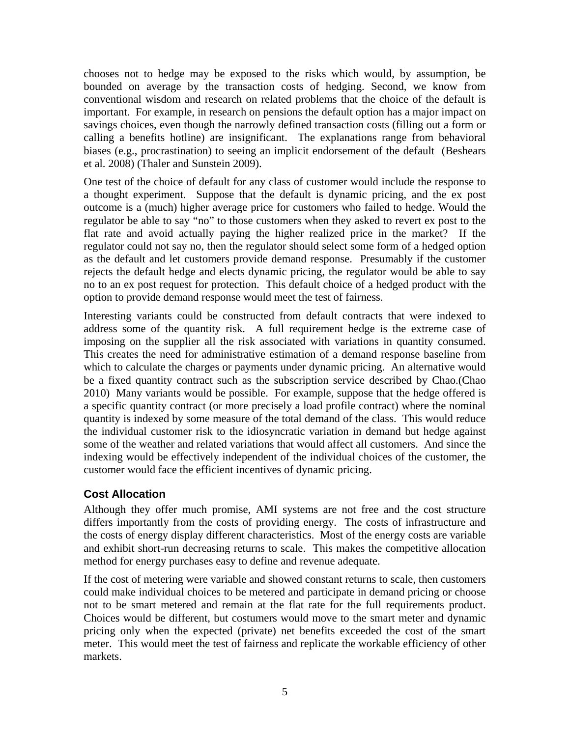chooses not to hedge may be exposed to the risks which would, by assumption, be bounded on average by the transaction costs of hedging. Second, we know from conventional wisdom and research on related problems that the choice of the default is important. For example, in research on pensions the default option has a major impact on savings choices, even though the narrowly defined transaction costs (filling out a form or calling a benefits hotline) are insignificant. The explanations range from behavioral biases (e.g., procrastination) to seeing an implicit endorsement of the default (Beshears et al. 2008) (Thaler and Sunstein 2009).

One test of the choice of default for any class of customer would include the response to a thought experiment. Suppose that the default is dynamic pricing, and the ex post outcome is a (much) higher average price for customers who failed to hedge. Would the regulator be able to say "no" to those customers when they asked to revert ex post to the flat rate and avoid actually paying the higher realized price in the market? If the regulator could not say no, then the regulator should select some form of a hedged option as the default and let customers provide demand response. Presumably if the customer rejects the default hedge and elects dynamic pricing, the regulator would be able to say no to an ex post request for protection. This default choice of a hedged product with the option to provide demand response would meet the test of fairness.

Interesting variants could be constructed from default contracts that were indexed to address some of the quantity risk. A full requirement hedge is the extreme case of imposing on the supplier all the risk associated with variations in quantity consumed. This creates the need for administrative estimation of a demand response baseline from which to calculate the charges or payments under dynamic pricing. An alternative would be a fixed quantity contract such as the subscription service described by Chao.(Chao 2010) Many variants would be possible. For example, suppose that the hedge offered is a specific quantity contract (or more precisely a load profile contract) where the nominal quantity is indexed by some measure of the total demand of the class. This would reduce the individual customer risk to the idiosyncratic variation in demand but hedge against some of the weather and related variations that would affect all customers. And since the indexing would be effectively independent of the individual choices of the customer, the customer would face the efficient incentives of dynamic pricing.

## **Cost Allocation**

Although they offer much promise, AMI systems are not free and the cost structure differs importantly from the costs of providing energy. The costs of infrastructure and the costs of energy display different characteristics. Most of the energy costs are variable and exhibit short-run decreasing returns to scale. This makes the competitive allocation method for energy purchases easy to define and revenue adequate.

If the cost of metering were variable and showed constant returns to scale, then customers could make individual choices to be metered and participate in demand pricing or choose not to be smart metered and remain at the flat rate for the full requirements product. Choices would be different, but costumers would move to the smart meter and dynamic pricing only when the expected (private) net benefits exceeded the cost of the smart meter. This would meet the test of fairness and replicate the workable efficiency of other markets.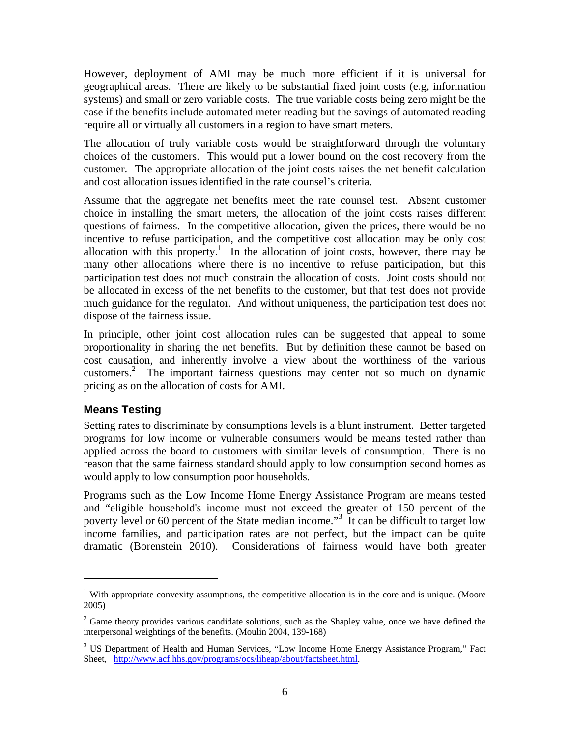However, deployment of AMI may be much more efficient if it is universal for geographical areas. There are likely to be substantial fixed joint costs (e.g, information systems) and small or zero variable costs. The true variable costs being zero might be the case if the benefits include automated meter reading but the savings of automated reading require all or virtually all customers in a region to have smart meters.

The allocation of truly variable costs would be straightforward through the voluntary choices of the customers. This would put a lower bound on the cost recovery from the customer. The appropriate allocation of the joint costs raises the net benefit calculation and cost allocation issues identified in the rate counsel's criteria.

Assume that the aggregate net benefits meet the rate counsel test. Absent customer choice in installing the smart meters, the allocation of the joint costs raises different questions of fairness. In the competitive allocation, given the prices, there would be no incentive to refuse participation, and the competitive cost allocation may be only cost allocation with this property.<sup>1</sup> In the allocation of joint costs, however, there may be many other allocations where there is no incentive to refuse participation, but this participation test does not much constrain the allocation of costs. Joint costs should not be allocated in excess of the net benefits to the customer, but that test does not provide much guidance for the regulator. And without uniqueness, the participation test does not dispose of the fairness issue.

In principle, other joint cost allocation rules can be suggested that appeal to some proportionality in sharing the net benefits. But by definition these cannot be based on cost causation, and inherently involve a view about the worthiness of the various customers.<sup>2</sup> The important fairness questions may center not so much on dynamic pricing as on the allocation of costs for AMI.

### **Means Testing**

1

Setting rates to discriminate by consumptions levels is a blunt instrument. Better targeted programs for low income or vulnerable consumers would be means tested rather than applied across the board to customers with similar levels of consumption. There is no reason that the same fairness standard should apply to low consumption second homes as would apply to low consumption poor households.

Programs such as the Low Income Home Energy Assistance Program are means tested and "eligible household's income must not exceed the greater of 150 percent of the poverty level or 60 percent of the State median income."<sup>3</sup> It can be difficult to target low income families, and participation rates are not perfect, but the impact can be quite dramatic (Borenstein 2010). Considerations of fairness would have both greater

<sup>&</sup>lt;sup>1</sup> With appropriate convexity assumptions, the competitive allocation is in the core and is unique. (Moore 2005)

 $2^2$  Game theory provides various candidate solutions, such as the Shapley value, once we have defined the interpersonal weightings of the benefits. (Moulin 2004, 139-168)

<sup>&</sup>lt;sup>3</sup> US Department of Health and Human Services, "Low Income Home Energy Assistance Program," Fact Sheet, http://www.acf.hhs.gov/programs/ocs/liheap/about/factsheet.html.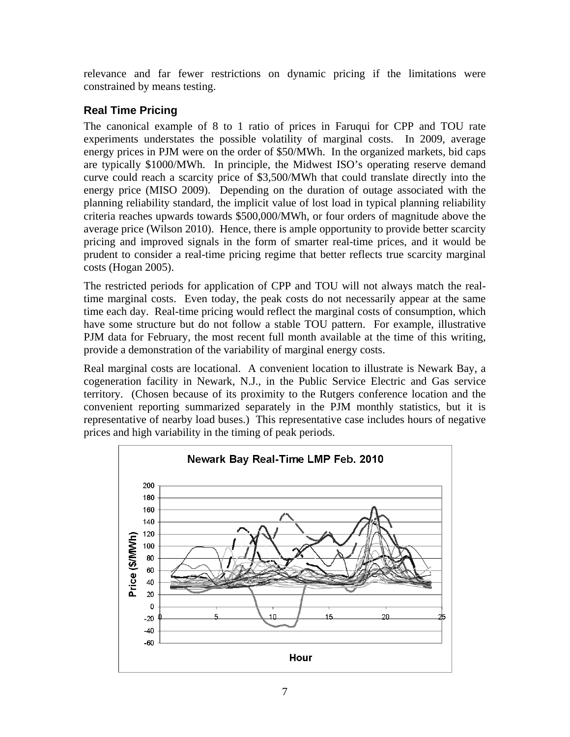relevance and far fewer restrictions on dynamic pricing if the limitations were constrained by means testing.

# **Real Time Pricing**

The canonical example of 8 to 1 ratio of prices in Faruqui for CPP and TOU rate experiments understates the possible volatility of marginal costs. In 2009, average energy prices in PJM were on the order of \$50/MWh. In the organized markets, bid caps are typically \$1000/MWh. In principle, the Midwest ISO's operating reserve demand curve could reach a scarcity price of \$3,500/MWh that could translate directly into the energy price (MISO 2009). Depending on the duration of outage associated with the planning reliability standard, the implicit value of lost load in typical planning reliability criteria reaches upwards towards \$500,000/MWh, or four orders of magnitude above the average price (Wilson 2010). Hence, there is ample opportunity to provide better scarcity pricing and improved signals in the form of smarter real-time prices, and it would be prudent to consider a real-time pricing regime that better reflects true scarcity marginal costs (Hogan 2005).

The restricted periods for application of CPP and TOU will not always match the realtime marginal costs. Even today, the peak costs do not necessarily appear at the same time each day. Real-time pricing would reflect the marginal costs of consumption, which have some structure but do not follow a stable TOU pattern. For example, illustrative PJM data for February, the most recent full month available at the time of this writing, provide a demonstration of the variability of marginal energy costs.

Real marginal costs are locational. A convenient location to illustrate is Newark Bay, a cogeneration facility in Newark, N.J., in the Public Service Electric and Gas service territory. (Chosen because of its proximity to the Rutgers conference location and the convenient reporting summarized separately in the PJM monthly statistics, but it is representative of nearby load buses.) This representative case includes hours of negative prices and high variability in the timing of peak periods.

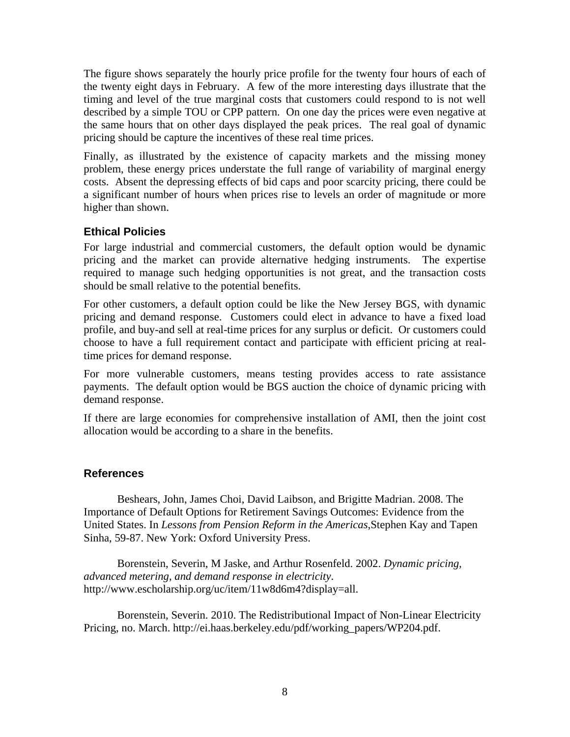The figure shows separately the hourly price profile for the twenty four hours of each of the twenty eight days in February. A few of the more interesting days illustrate that the timing and level of the true marginal costs that customers could respond to is not well described by a simple TOU or CPP pattern. On one day the prices were even negative at the same hours that on other days displayed the peak prices. The real goal of dynamic pricing should be capture the incentives of these real time prices.

Finally, as illustrated by the existence of capacity markets and the missing money problem, these energy prices understate the full range of variability of marginal energy costs. Absent the depressing effects of bid caps and poor scarcity pricing, there could be a significant number of hours when prices rise to levels an order of magnitude or more higher than shown.

### **Ethical Policies**

For large industrial and commercial customers, the default option would be dynamic pricing and the market can provide alternative hedging instruments. The expertise required to manage such hedging opportunities is not great, and the transaction costs should be small relative to the potential benefits.

For other customers, a default option could be like the New Jersey BGS, with dynamic pricing and demand response. Customers could elect in advance to have a fixed load profile, and buy-and sell at real-time prices for any surplus or deficit. Or customers could choose to have a full requirement contact and participate with efficient pricing at realtime prices for demand response.

For more vulnerable customers, means testing provides access to rate assistance payments. The default option would be BGS auction the choice of dynamic pricing with demand response.

If there are large economies for comprehensive installation of AMI, then the joint cost allocation would be according to a share in the benefits.

#### **References**

Beshears, John, James Choi, David Laibson, and Brigitte Madrian. 2008. The Importance of Default Options for Retirement Savings Outcomes: Evidence from the United States. In *Lessons from Pension Reform in the Americas*,Stephen Kay and Tapen Sinha, 59-87. New York: Oxford University Press.

Borenstein, Severin, M Jaske, and Arthur Rosenfeld. 2002. *Dynamic pricing, advanced metering, and demand response in electricity*. http://www.escholarship.org/uc/item/11w8d6m4?display=all.

Borenstein, Severin. 2010. The Redistributional Impact of Non-Linear Electricity Pricing, no. March. http://ei.haas.berkeley.edu/pdf/working\_papers/WP204.pdf.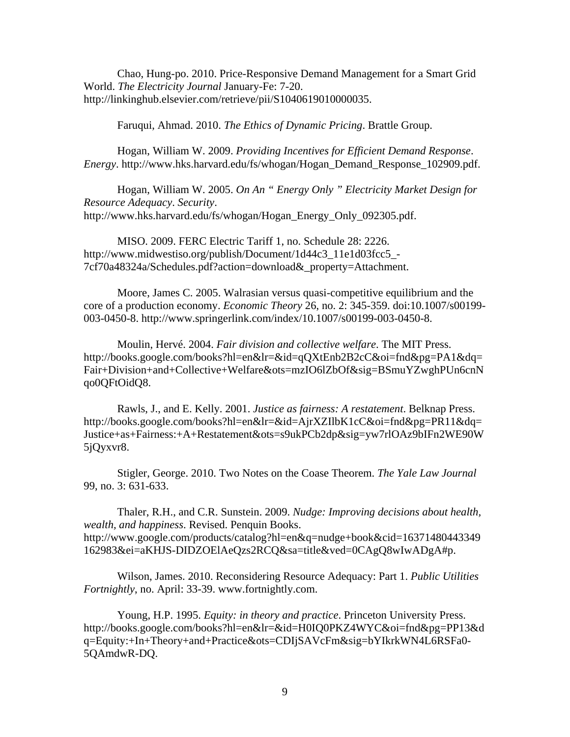Chao, Hung-po. 2010. Price-Responsive Demand Management for a Smart Grid World. *The Electricity Journal* January-Fe: 7-20. http://linkinghub.elsevier.com/retrieve/pii/S1040619010000035.

Faruqui, Ahmad. 2010. *The Ethics of Dynamic Pricing*. Brattle Group.

Hogan, William W. 2009. *Providing Incentives for Efficient Demand Response*. *Energy*. http://www.hks.harvard.edu/fs/whogan/Hogan\_Demand\_Response\_102909.pdf.

Hogan, William W. 2005. *On An " Energy Only " Electricity Market Design for Resource Adequacy*. *Security*. http://www.hks.harvard.edu/fs/whogan/Hogan\_Energy\_Only\_092305.pdf.

MISO. 2009. FERC Electric Tariff 1, no. Schedule 28: 2226. http://www.midwestiso.org/publish/Document/1d44c3\_11e1d03fcc5\_- 7cf70a48324a/Schedules.pdf?action=download&\_property=Attachment.

Moore, James C. 2005. Walrasian versus quasi-competitive equilibrium and the core of a production economy. *Economic Theory* 26, no. 2: 345-359. doi:10.1007/s00199- 003-0450-8. http://www.springerlink.com/index/10.1007/s00199-003-0450-8.

Moulin, Hervé. 2004. *Fair division and collective welfare*. The MIT Press. http://books.google.com/books?hl=en&lr=&id=qQXtEnb2B2cC&oi=fnd&pg=PA1&dq= Fair+Division+and+Collective+Welfare&ots=mzIO6lZbOf&sig=BSmuYZwghPUn6cnN qo0QFtOidQ8.

Rawls, J., and E. Kelly. 2001. *Justice as fairness: A restatement*. Belknap Press. http://books.google.com/books?hl=en&lr=&id=AjrXZIlbK1cC&oi=fnd&pg=PR11&dq= Justice+as+Fairness:+A+Restatement&ots=s9ukPCb2dp&sig=yw7rlOAz9bIFn2WE90W 5jQyxvr8.

Stigler, George. 2010. Two Notes on the Coase Theorem. *The Yale Law Journal* 99, no. 3: 631-633.

Thaler, R.H., and C.R. Sunstein. 2009. *Nudge: Improving decisions about health, wealth, and happiness*. Revised. Penquin Books. http://www.google.com/products/catalog?hl=en&q=nudge+book&cid=16371480443349 162983&ei=aKHJS-DIDZOElAeQzs2RCQ&sa=title&ved=0CAgQ8wIwADgA#p.

Wilson, James. 2010. Reconsidering Resource Adequacy: Part 1. *Public Utilities Fortnightly*, no. April: 33-39. www.fortnightly.com.

Young, H.P. 1995. *Equity: in theory and practice*. Princeton University Press. http://books.google.com/books?hl=en&lr=&id=H0IQ0PKZ4WYC&oi=fnd&pg=PP13&d q=Equity:+In+Theory+and+Practice&ots=CDIjSAVcFm&sig=bYIkrkWN4L6RSFa0- 5QAmdwR-DQ.